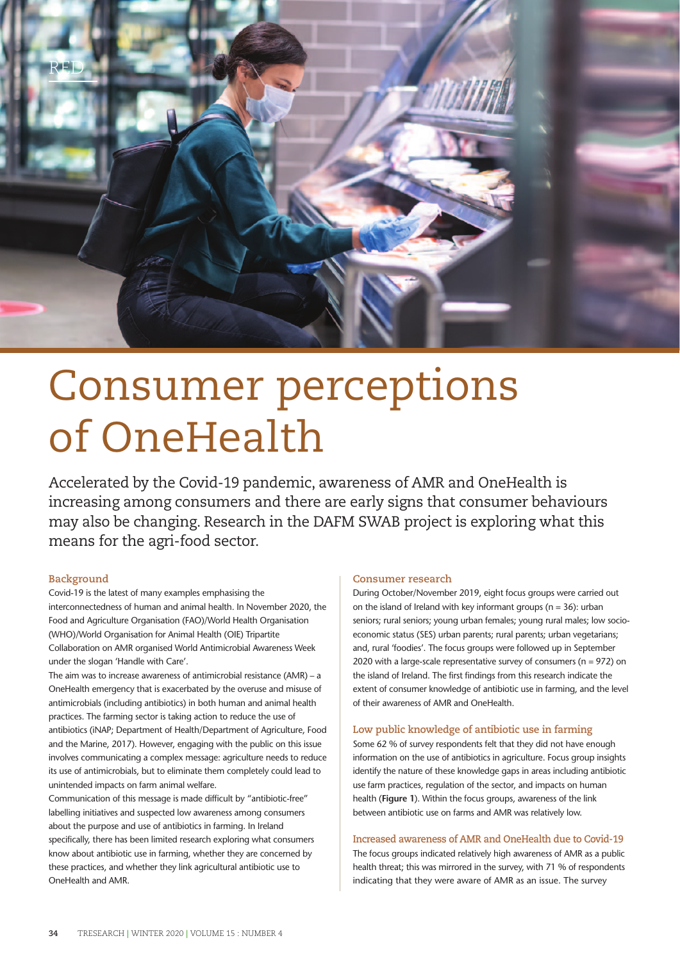

# Consumer perceptions of OneHealth

Accelerated by the Covid-19 pandemic, awareness of AMR and OneHealth is increasing among consumers and there are early signs that consumer behaviours may also be changing. Research in the DAFM SWAB project is exploring what this means for the agri-food sector.

# **Background**

Covid-19 is the latest of many examples emphasising the interconnectedness of human and animal health. In November 2020, the Food and Agriculture Organisation (FAO)/World Health Organisation (WHO)/World Organisation for Animal Health (OIE) Tripartite Collaboration on AMR organised World Antimicrobial Awareness Week under the slogan 'Handle with Care'.

The aim was to increase awareness of antimicrobial resistance (AMR) – a OneHealth emergency that is exacerbated by the overuse and misuse of antimicrobials (including antibiotics) in both human and animal health practices. The farming sector is taking action to reduce the use of antibiotics (iNAP; Department of Health/Department of Agriculture, Food and the Marine, 2017). However, engaging with the public on this issue involves communicating a complex message: agriculture needs to reduce its use of antimicrobials, but to eliminate them completely could lead to unintended impacts on farm animal welfare.

Communication of this message is made difficult by "antibiotic-free" labelling initiatives and suspected low awareness among consumers about the purpose and use of antibiotics in farming. In Ireland specifically, there has been limited research exploring what consumers know about antibiotic use in farming, whether they are concerned by these practices, and whether they link agricultural antibiotic use to OneHealth and AMR.

## **Consumer research**

During October/November 2019, eight focus groups were carried out on the island of Ireland with key informant groups ( $n = 36$ ): urban seniors; rural seniors; young urban females; young rural males; low socioeconomic status (SES) urban parents; rural parents; urban vegetarians; and, rural 'foodies'. The focus groups were followed up in September 2020 with a large-scale representative survey of consumers ( $n = 972$ ) on the island of Ireland. The first findings from this research indicate the extent of consumer knowledge of antibiotic use in farming, and the level of their awareness of AMR and OneHealth.

# **Low public knowledge of antibiotic use in farming**

Some 62 % of survey respondents felt that they did not have enough information on the use of antibiotics in agriculture. Focus group insights identify the nature of these knowledge gaps in areas including antibiotic use farm practices, regulation of the sector, and impacts on human health (**Figure 1**). Within the focus groups, awareness of the link between antibiotic use on farms and AMR was relatively low.

## **Increased awareness of AMR and OneHealth due to Covid-19**

The focus groups indicated relatively high awareness of AMR as a public health threat; this was mirrored in the survey, with 71 % of respondents indicating that they were aware of AMR as an issue. The survey